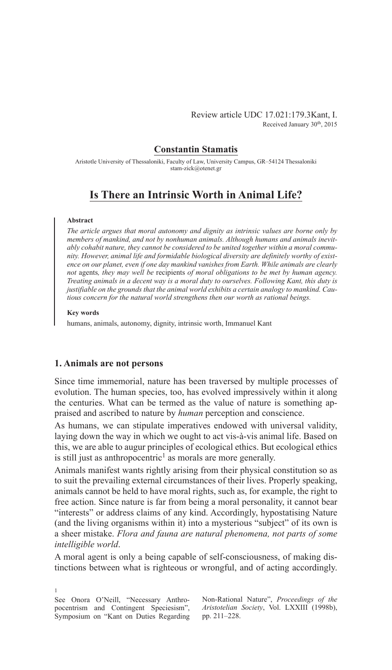### **Constantin Stamatis**

Aristotle University of Thessaloniki, Faculty of Law, University Campus, GR–54124 Thessaloniki stam-zick@otenet.gr

# **Is There an Intrinsic Worth in Animal Life?**

### **Abstract**

*The article argues that moral autonomy and dignity as intrinsic values are borne only by members of mankind, and not by nonhuman animals. Although humans and animals inevitably cohabit nature, they cannot be considered to be united together within a moral community. However, animal life and formidable biological diversity are definitely worthy of existence on our planet, even if one day mankind vanishes from Earth. While animals are clearly not* agents*, they may well be* recipients *of moral obligations to be met by human agency. Treating animals in a decent way is a moral duty to ourselves. Following Kant, this duty is justifiable on the grounds that the animal world exhibits a certain analogy to mankind. Cautious concern for the natural world strengthens then our worth as rational beings.*

#### **Key words**

humans, animals, autonomy, dignity, intrinsic worth, Immanuel Kant

### **1. Animals are not persons**

Since time immemorial, nature has been traversed by multiple processes of evolution. The human species, too, has evolved impressively within it along the centuries. What can be termed as the value of nature is something appraised and ascribed to nature by *human* perception and conscience.

As humans, we can stipulate imperatives endowed with universal validity, laying down the way in which we ought to act vis-à-vis animal life. Based on this, we are able to augur principles of ecological ethics. But ecological ethics is still just as anthropocentric<sup>1</sup> as morals are more generally.

Animals manifest wants rightly arising from their physical constitution so as to suit the prevailing external circumstances of their lives. Properly speaking, animals cannot be held to have moral rights, such as, for example, the right to free action. Since nature is far from being a moral personality, it cannot bear "interests" or address claims of any kind. Accordingly, hypostatising Nature (and the living organisms within it) into a mysterious "subject" of its own is a sheer mistake. *Flora and fauna are natural phenomena, not parts of some intelligible world*.

A moral agent is only a being capable of self-consciousness, of making distinctions between what is righteous or wrongful, and of acting accordingly.

See Onora O'Neill, "Necessary Anthropocentrism and Contingent Speciesism", Symposium on "Kant on Duties Regarding

1

Non-Rational Nature", *Proceedings of the Aristotelian Society*, Vol. LXXIII (1998b), pp. 211–228.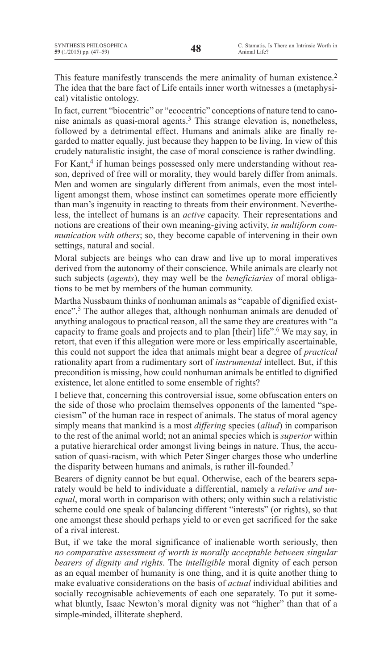This feature manifestly transcends the mere animality of human existence.<sup>2</sup> The idea that the bare fact of Life entails inner worth witnesses a (metaphysical) vitalistic ontology.

In fact, current "biocentric" or "ecocentric" conceptions of nature tend to canonise animals as quasi-moral agents.<sup>3</sup> This strange elevation is, nonetheless, followed by a detrimental effect. Humans and animals alike are finally regarded to matter equally, just because they happen to be living. In view of this crudely naturalistic insight, the case of moral conscience is rather dwindling.

For Kant,<sup>4</sup> if human beings possessed only mere understanding without reason, deprived of free will or morality, they would barely differ from animals. Men and women are singularly different from animals, even the most intelligent amongst them, whose instinct can sometimes operate more efficiently than man's ingenuity in reacting to threats from their environment. Nevertheless, the intellect of humans is an *active* capacity. Their representations and notions are creations of their own meaning-giving activity, *in multiform communication with others*; so, they become capable of intervening in their own settings, natural and social.

Moral subjects are beings who can draw and live up to moral imperatives derived from the autonomy of their conscience. While animals are clearly not such subjects (*agents*), they may well be the *beneficiaries* of moral obligations to be met by members of the human community.

Martha Nussbaum thinks of nonhuman animals as "capable of dignified existence".5 The author alleges that, although nonhuman animals are denuded of anything analogous to practical reason, all the same they are creatures with "a capacity to frame goals and projects and to plan [their] life".6 We may say, in retort, that even if this allegation were more or less empirically ascertainable, this could not support the idea that animals might bear a degree of *practical* rationality apart from a rudimentary sort of *instrumental* intellect. But, if this precondition is missing, how could nonhuman animals be entitled to dignified existence, let alone entitled to some ensemble of rights?

I believe that, concerning this controversial issue, some obfuscation enters on the side of those who proclaim themselves opponents of the lamented "speciesism" of the human race in respect of animals. The status of moral agency simply means that mankind is a most *differing* species (*aliud*) in comparison to the rest of the animal world; not an animal species which is *superior* within a putative hierarchical order amongst living beings in nature. Thus, the accusation of quasi-racism, with which Peter Singer charges those who underline the disparity between humans and animals, is rather ill-founded.7

Bearers of dignity cannot be but equal. Otherwise, each of the bearers separately would be held to individuate a differential, namely a *relative and unequal*, moral worth in comparison with others; only within such a relativistic scheme could one speak of balancing different "interests" (or rights), so that one amongst these should perhaps yield to or even get sacrificed for the sake of a rival interest.

But, if we take the moral significance of inalienable worth seriously, then *no comparative assessment of worth is morally acceptable between singular bearers of dignity and rights*. The *intelligible* moral dignity of each person as an equal member of humanity is one thing, and it is quite another thing to make evaluative considerations on the basis of *actual* individual abilities and socially recognisable achievements of each one separately. To put it somewhat bluntly, Isaac Newton's moral dignity was not "higher" than that of a simple-minded, illiterate shepherd.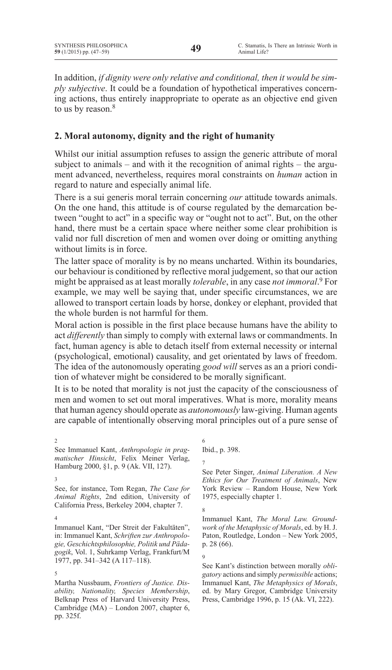In addition, *if dignity were only relative and conditional, then it would be simply subjective*. It could be a foundation of hypothetical imperatives concerning actions, thus entirely inappropriate to operate as an objective end given to us by reason.<sup>8</sup>

# **2. Moral autonomy, dignity and the right of humanity**

Whilst our initial assumption refuses to assign the generic attribute of moral subject to animals – and with it the recognition of animal rights – the argument advanced, nevertheless, requires moral constraints on *human* action in regard to nature and especially animal life.

There is a sui generis moral terrain concerning *our* attitude towards animals. On the one hand, this attitude is of course regulated by the demarcation between "ought to act" in a specific way or "ought not to act". But, on the other hand, there must be a certain space where neither some clear prohibition is valid nor full discretion of men and women over doing or omitting anything without limits is in force.

The latter space of morality is by no means uncharted. Within its boundaries, our behaviour is conditioned by reflective moral judgement, so that our action might be appraised as at least morally *tolerable*, in any case *not immoral*. <sup>9</sup> For example, we may well be saying that, under specific circumstances, we are allowed to transport certain loads by horse, donkey or elephant, provided that the whole burden is not harmful for them.

Moral action is possible in the first place because humans have the ability to act *differently* than simply to comply with external laws or commandments. In fact, human agency is able to detach itself from external necessity or internal (psychological, emotional) causality, and get orientated by laws of freedom. The idea of the autonomously operating *good will* serves as an a priori condition of whatever might be considered to be morally significant.

It is to be noted that morality is not just the capacity of the consciousness of men and women to set out moral imperatives. What is more, morality means that human agency should operate as *autonomously* law-giving. Human agents are capable of intentionally observing moral principles out of a pure sense of

2 See Immanuel Kant, *Anthropologie in pragmatischer Hinsicht*, Felix Meiner Verlag, Hamburg 2000, §1, p. 9 (Ak. VII, 127).

3

5

Martha Nussbaum, *Frontiers of Justice. Disability, Nationality, Species Membership*, Belknap Press of Harvard University Press, Cambridge (MA) – London 2007, chapter 6, pp. 325f.

Ibid., p. 398.

7

8

6

See Peter Singer, *Animal Liberation. A New Ethics for Our Treatment of Animals*, New York Review – Random House, New York 1975, especially chapter 1.

Immanuel Kant, *The Moral Law. Groundwork of the Metaphysic of Morals*, ed. by H. J. Paton, Routledge, London – New York 2005, p. 28 (66).

9 See Kant's distinction between morally *obligatory* actions and simply *permissible* actions; Immanuel Kant, *The Metaphysics of Morals*, ed. by Mary Gregor, Cambridge University Press, Cambridge 1996, p. 15 (Ak. VI, 222).

See, for instance, Tom Regan, *The Case for Animal Rights*, 2nd edition, University of California Press, Berkeley 2004, chapter 7.

<sup>4</sup> Immanuel Kant, "Der Streit der Fakultäten", in: Immanuel Kant, *Schriften zur Anthropologie, Geschichtsphilosophie, Politik und Pädagogik*, Vol. 1, Suhrkamp Verlag, Frankfurt/M 1977, pp. 341–342 (A 117–118).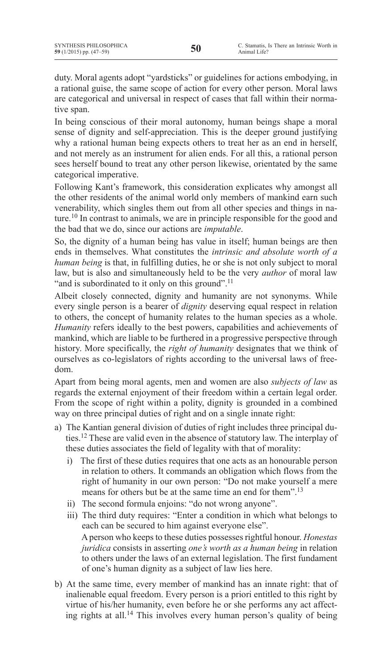duty. Moral agents adopt "yardsticks" or guidelines for actions embodying, in a rational guise, the same scope of action for every other person. Moral laws are categorical and universal in respect of cases that fall within their normative span.

In being conscious of their moral autonomy, human beings shape a moral sense of dignity and self-appreciation. This is the deeper ground justifying why a rational human being expects others to treat her as an end in herself, and not merely as an instrument for alien ends. For all this, a rational person sees herself bound to treat any other person likewise, orientated by the same categorical imperative.

Following Kant's framework, this consideration explicates why amongst all the other residents of the animal world only members of mankind earn such venerability, which singles them out from all other species and things in nature.10 In contrast to animals, we are in principle responsible for the good and the bad that we do, since our actions are *imputable*.

So, the dignity of a human being has value in itself; human beings are then ends in themselves. What constitutes the *intrinsic and absolute worth of a human being* is that, in fulfilling duties, he or she is not only subject to moral law, but is also and simultaneously held to be the very *author* of moral law "and is subordinated to it only on this ground".<sup>11</sup>

Albeit closely connected, dignity and humanity are not synonyms. While every single person is a bearer of *dignity* deserving equal respect in relation to others, the concept of humanity relates to the human species as a whole. *Humanity* refers ideally to the best powers, capabilities and achievements of mankind, which are liable to be furthered in a progressive perspective through history. More specifically, the *right of humanity* designates that we think of ourselves as co-legislators of rights according to the universal laws of freedom.

Apart from being moral agents, men and women are also *subjects of law* as regards the external enjoyment of their freedom within a certain legal order. From the scope of right within a polity, dignity is grounded in a combined way on three principal duties of right and on a single innate right:

- a) The Kantian general division of duties of right includes three principal duties.12 These are valid even in the absence of statutory law. The interplay of these duties associates the field of legality with that of morality:
	- i) The first of these duties requires that one acts as an honourable person in relation to others. It commands an obligation which flows from the right of humanity in our own person: "Do not make yourself a mere means for others but be at the same time an end for them".13
	- ii) The second formula enjoins: "do not wrong anyone".
	- iii) The third duty requires: "Enter a condition in which what belongs to each can be secured to him against everyone else". Aperson who keepsto these duties possessesrightful honour. *Honestas juridica* consists in asserting *one's worth as a human being* in relation to others under the laws of an external legislation. The first fundament of one's human dignity as a subject of law lies here.
- b) At the same time, every member of mankind has an innate right: that of inalienable equal freedom. Every person is a priori entitled to this right by virtue of his/her humanity, even before he or she performs any act affecting rights at all.14 This involves every human person's quality of being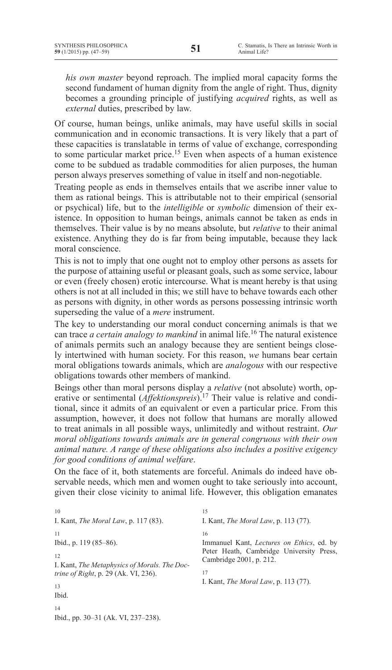*his own master* beyond reproach. The implied moral capacity forms the second fundament of human dignity from the angle of right. Thus, dignity becomes a grounding principle of justifying *acquired* rights, as well as *external* duties, prescribed by law.

Of course, human beings, unlike animals, may have useful skills in social communication and in economic transactions. It is very likely that a part of these capacities is translatable in terms of value of exchange, corresponding to some particular market price.15 Even when aspects of a human existence come to be subdued as tradable commodities for alien purposes, the human person always preserves something of value in itself and non-negotiable.

Treating people as ends in themselves entails that we ascribe inner value to them as rational beings. This is attributable not to their empirical (sensorial or psychical) life, but to the *intelligible* or *symbolic* dimension of their existence. In opposition to human beings, animals cannot be taken as ends in themselves. Their value is by no means absolute, but *relative* to their animal existence. Anything they do is far from being imputable, because they lack moral conscience.

This is not to imply that one ought not to employ other persons as assets for the purpose of attaining useful or pleasant goals, such as some service, labour or even (freely chosen) erotic intercourse. What is meant hereby is that using others is not at all included in this; we still have to behave towards each other as persons with dignity, in other words as persons possessing intrinsic worth superseding the value of a *mere* instrument.

The key to understanding our moral conduct concerning animals is that we can trace *a certain analogy to mankind* in animal life.16 The natural existence of animals permits such an analogy because they are sentient beings closely intertwined with human society. For this reason, *we* humans bear certain moral obligations towards animals, which are *analogous* with our respective obligations towards other members of mankind.

Beings other than moral persons display a *relative* (not absolute) worth, operative or sentimental (*Affektionspreis*).<sup>17</sup> Their value is relative and conditional, since it admits of an equivalent or even a particular price. From this assumption, however, it does not follow that humans are morally allowed to treat animals in all possible ways, unlimitedly and without restraint. *Our moral obligations towards animals are in general congruous with their own animal nature. A range of these obligations also includes a positive exigency for good conditions of animal welfare*.

On the face of it, both statements are forceful. Animals do indeed have observable needs, which men and women ought to take seriously into account, given their close vicinity to animal life. However, this obligation emanates

10 I. Kant, *The Moral Law*, p. 117 (83). 11 Ibid., p. 119 (85–86). 12 I. Kant, *The Metaphysics of Morals. The Doctrine of Right*, p. 29 (Ak. VI, 236). 13 Ibid. 14 Ibid., pp. 30–31 (Ak. VI, 237–238). 15 I. Kant, *The Moral Law*, p. 113 (77). 16 Immanuel Kant, *Lectures on Ethics*, ed. by Peter Heath, Cambridge University Press, Cambridge 2001, p. 212. 17 I. Kant, *The Moral Law*, p. 113 (77).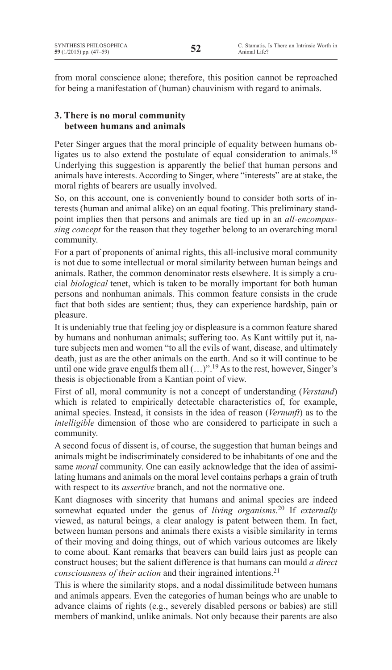from moral conscience alone; therefore, this position cannot be reproached for being a manifestation of (human) chauvinism with regard to animals.

# **3. There is no moral community between humans and animals**

Peter Singer argues that the moral principle of equality between humans obligates us to also extend the postulate of equal consideration to animals.<sup>18</sup> Underlying this suggestion is apparently the belief that human persons and animals have interests. According to Singer, where "interests" are at stake, the moral rights of bearers are usually involved.

So, on this account, one is conveniently bound to consider both sorts of interests (human and animal alike) on an equal footing. This preliminary standpoint implies then that persons and animals are tied up in an *all-encompassing concept* for the reason that they together belong to an overarching moral community.

For a part of proponents of animal rights, this all-inclusive moral community is not due to some intellectual or moral similarity between human beings and animals. Rather, the common denominator rests elsewhere. It is simply a crucial *biological* tenet, which is taken to be morally important for both human persons and nonhuman animals. This common feature consists in the crude fact that both sides are sentient; thus, they can experience hardship, pain or pleasure.

It is undeniably true that feeling joy or displeasure is a common feature shared by humans and nonhuman animals; suffering too. As Kant wittily put it, nature subjects men and women "to all the evils of want, disease, and ultimately death, just as are the other animals on the earth. And so it will continue to be until one wide grave engulfs them all  $(...)$ ".<sup>19</sup> As to the rest, however, Singer's thesis is objectionable from a Kantian point of view.

First of all, moral community is not a concept of understanding (*Verstand*) which is related to empirically detectable characteristics of, for example, animal species. Instead, it consists in the idea of reason (*Vernunft*) as to the *intelligible* dimension of those who are considered to participate in such a community.

A second focus of dissent is, of course, the suggestion that human beings and animals might be indiscriminately considered to be inhabitants of one and the same *moral* community. One can easily acknowledge that the idea of assimilating humans and animals on the moral level contains perhaps a grain of truth with respect to its *assertive* branch, and not the normative one.

Kant diagnoses with sincerity that humans and animal species are indeed somewhat equated under the genus of *living organisms*. <sup>20</sup> If *externally*  viewed, as natural beings, a clear analogy is patent between them. In fact, between human persons and animals there exists a visible similarity in terms of their moving and doing things, out of which various outcomes are likely to come about. Kant remarks that beavers can build lairs just as people can construct houses; but the salient difference is that humans can mould *a direct consciousness of their action* and their ingrained intentions.<sup>21</sup>

This is where the similarity stops, and a nodal dissimilitude between humans and animals appears. Even the categories of human beings who are unable to advance claims of rights (e.g., severely disabled persons or babies) are still members of mankind, unlike animals. Not only because their parents are also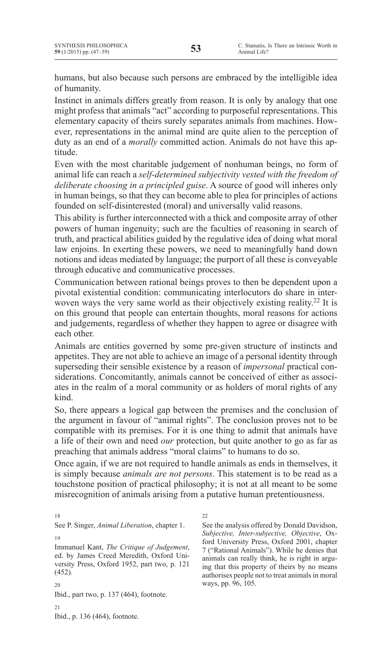humans, but also because such persons are embraced by the intelligible idea of humanity.

Instinct in animals differs greatly from reason. It is only by analogy that one might profess that animals "act" according to purposeful representations. This elementary capacity of theirs surely separates animals from machines. However, representations in the animal mind are quite alien to the perception of duty as an end of a *morally* committed action. Animals do not have this aptitude.

Even with the most charitable judgement of nonhuman beings, no form of animal life can reach a *self-determined subjectivity vested with the freedom of deliberate choosing in a principled guise*. A source of good will inheres only in human beings, so that they can become able to plea for principles of actions founded on self-disinterested (moral) and universally valid reasons.

This ability is further interconnected with a thick and composite array of other powers of human ingenuity; such are the faculties of reasoning in search of truth, and practical abilities guided by the regulative idea of doing what moral law enjoins. In exerting these powers, we need to meaningfully hand down notions and ideas mediated by language; the purport of all these is conveyable through educative and communicative processes.

Communication between rational beings proves to then be dependent upon a pivotal existential condition: communicating interlocutors do share in interwoven ways the very same world as their objectively existing reality.<sup>22</sup> It is on this ground that people can entertain thoughts, moral reasons for actions and judgements, regardless of whether they happen to agree or disagree with each other.

Animals are entities governed by some pre-given structure of instincts and appetites. They are not able to achieve an image of a personal identity through superseding their sensible existence by a reason of *impersonal* practical considerations. Concomitantly, animals cannot be conceived of either as associates in the realm of a moral community or as holders of moral rights of any kind.

So, there appears a logical gap between the premises and the conclusion of the argument in favour of "animal rights". The conclusion proves not to be compatible with its premises. For it is one thing to admit that animals have a life of their own and need *our* protection, but quite another to go as far as preaching that animals address "moral claims" to humans to do so.

Once again, if we are not required to handle animals as ends in themselves, it is simply because *animals are not persons*. This statement is to be read as a touchstone position of practical philosophy; it is not at all meant to be some misrecognition of animals arising from a putative human pretentiousness.

18

See P. Singer, *Animal Liberation*, chapter 1.

Immanuel Kant, *The Critique of Judgement*, ed. by James Creed Meredith, Oxford University Press, Oxford 1952, part two, p. 121 (452).

20

19

Ibid., part two, p. 137 (464), footnote.

21 Ibid., p. 136 (464), footnote. 22

See the analysis offered by Donald Davidson, *Subjective, Inter-subjective, Objective*, Oxford University Press, Oxford 2001, chapter 7 ("Rational Animals"). While he denies that animals can really think, he is right in arguing that this property of theirs by no means authorises people not to treat animals in moral ways, pp. 96, 105.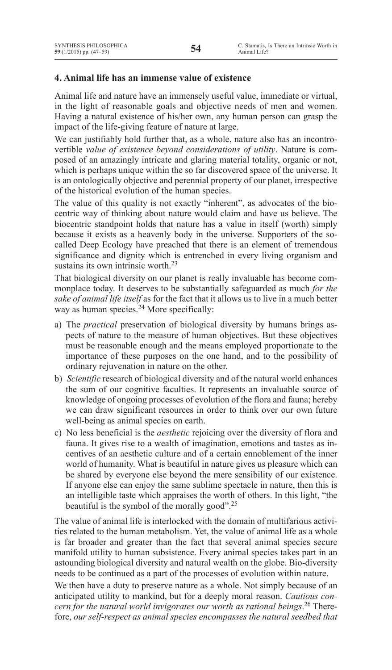# **4. Animal life has an immense value of existence**

Animal life and nature have an immensely useful value, immediate or virtual, in the light of reasonable goals and objective needs of men and women. Having a natural existence of his/her own, any human person can grasp the impact of the life-giving feature of nature at large.

We can justifiably hold further that, as a whole, nature also has an incontrovertible *value of existence beyond considerations of utility*. Nature is composed of an amazingly intricate and glaring material totality, organic or not, which is perhaps unique within the so far discovered space of the universe. It is an ontologically objective and perennial property of our planet, irrespective of the historical evolution of the human species.

The value of this quality is not exactly "inherent", as advocates of the biocentric way of thinking about nature would claim and have us believe. The biocentric standpoint holds that nature has a value in itself (worth) simply because it exists as a heavenly body in the universe. Supporters of the socalled Deep Ecology have preached that there is an element of tremendous significance and dignity which is entrenched in every living organism and sustains its own intrinsic worth  $23$ 

That biological diversity on our planet is really invaluable has become commonplace today. It deserves to be substantially safeguarded as much *for the sake of animal life itself* as for the fact that it allows us to live in a much better way as human species.<sup>24</sup> More specifically:

- a) The *practical* preservation of biological diversity by humans brings aspects of nature to the measure of human objectives. But these objectives must be reasonable enough and the means employed proportionate to the importance of these purposes on the one hand, and to the possibility of ordinary rejuvenation in nature on the other.
- b) *Scientific* research of biological diversity and of the natural world enhances the sum of our cognitive faculties. It represents an invaluable source of knowledge of ongoing processes of evolution of the flora and fauna; hereby we can draw significant resources in order to think over our own future well-being as animal species on earth.
- c) No less beneficial is the *aesthetic* rejoicing over the diversity of flora and fauna. It gives rise to a wealth of imagination, emotions and tastes as incentives of an aesthetic culture and of a certain ennoblement of the inner world of humanity. What is beautiful in nature gives us pleasure which can be shared by everyone else beyond the mere sensibility of our existence. If anyone else can enjoy the same sublime spectacle in nature, then this is an intelligible taste which appraises the worth of others. In this light, "the beautiful is the symbol of the morally good".25

The value of animal life is interlocked with the domain of multifarious activities related to the human metabolism. Yet, the value of animal life as a whole is far broader and greater than the fact that several animal species secure manifold utility to human subsistence. Every animal species takes part in an astounding biological diversity and natural wealth on the globe. Bio-diversity needs to be continued as a part of the processes of evolution within nature.

We then have a duty to preserve nature as a whole. Not simply because of an anticipated utility to mankind, but for a deeply moral reason. *Cautious concern for the natural world invigorates our worth as rational beings*. <sup>26</sup> Therefore, *our self-respect as animal species encompasses the natural seedbed that*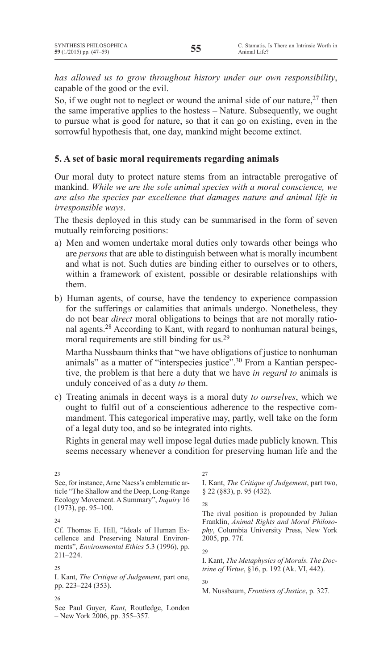*has allowed us to grow throughout history under our own responsibility*, capable of the good or the evil.

So, if we ought not to neglect or wound the animal side of our nature,  $27$  then the same imperative applies to the hostess – Nature. Subsequently, we ought to pursue what is good for nature, so that it can go on existing, even in the sorrowful hypothesis that, one day, mankind might become extinct.

## **5. A set of basic moral requirements regarding animals**

Our moral duty to protect nature stems from an intractable prerogative of mankind. *While we are the sole animal species with a moral conscience, we are also the species par excellence that damages nature and animal life in irresponsible ways*.

The thesis deployed in this study can be summarised in the form of seven mutually reinforcing positions:

- a) Men and women undertake moral duties only towards other beings who are *persons* that are able to distinguish between what is morally incumbent and what is not. Such duties are binding either to ourselves or to others, within a framework of existent, possible or desirable relationships with them.
- b) Human agents, of course, have the tendency to experience compassion for the sufferings or calamities that animals undergo. Nonetheless, they do not bear *direct* moral obligations to beings that are not morally rational agents.28 According to Kant, with regard to nonhuman natural beings, moral requirements are still binding for us.29

Martha Nussbaum thinks that "we have obligations of justice to nonhuman animals" as a matter of "interspecies justice".<sup>30</sup> From a Kantian perspective, the problem is that here a duty that we have *in regard to* animals is unduly conceived of as a duty *to* them.

c) Treating animals in decent ways is a moral duty *to ourselves*, which we ought to fulfil out of a conscientious adherence to the respective commandment. This categorical imperative may, partly, well take on the form of a legal duty too, and so be integrated into rights.

Rights in general may well impose legal duties made publicly known. This seems necessary whenever a condition for preserving human life and the

See, for instance, Arne Naess's emblematic article "The Shallow and the Deep, Long-Range Ecology Movement. A Summary", *Inquiry* 16 (1973), pp. 95–100.

 $23$ 

Cf. Thomas E. Hill, "Ideals of Human Excellence and Preserving Natural Environments", *Environmental Ethics* 5.3 (1996), pp. 211–224.

I. Kant, *The Critique of Judgement*, part one, pp. 223–224 (353).

See Paul Guyer, *Kant*, Routledge, London – New York 2006, pp. 355–357.

27 I. Kant, *The Critique of Judgement*, part two, § 22 (§83), p. 95 (432).

The rival position is propounded by Julian Franklin, *Animal Rights and Moral Philosophy*, Columbia University Press, New York 2005, pp. 77f.

I. Kant, *The Metaphysics of Morals. The Doctrine of Virtue*, §16, p. 192 (Ak. VI, 442).

M. Nussbaum, *Frontiers of Justice*, p. 327.

 $24$ 

<sup>25</sup>

<sup>26</sup>

<sup>28</sup>

<sup>29</sup>

<sup>30</sup>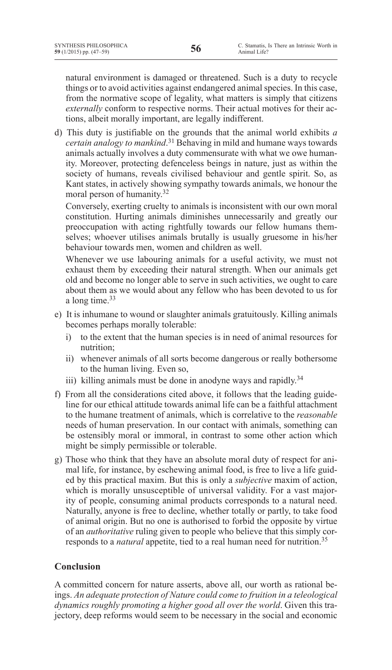natural environment is damaged or threatened. Such is a duty to recycle things or to avoid activities against endangered animal species. In this case, from the normative scope of legality, what matters is simply that citizens *externally* conform to respective norms. Their actual motives for their actions, albeit morally important, are legally indifferent.

d) This duty is justifiable on the grounds that the animal world exhibits *a certain analogy to mankind*. <sup>31</sup> Behaving in mild and humane ways towards animals actually involves a duty commensurate with what we owe humanity. Moreover, protecting defenceless beings in nature, just as within the society of humans, reveals civilised behaviour and gentle spirit. So, as Kant states, in actively showing sympathy towards animals, we honour the moral person of humanity.32

Conversely, exerting cruelty to animals is inconsistent with our own moral constitution. Hurting animals diminishes unnecessarily and greatly our preoccupation with acting rightfully towards our fellow humans themselves; whoever utilises animals brutally is usually gruesome in his/her behaviour towards men, women and children as well.

Whenever we use labouring animals for a useful activity, we must not exhaust them by exceeding their natural strength. When our animals get old and become no longer able to serve in such activities, we ought to care about them as we would about any fellow who has been devoted to us for a long time.33

- e) It is inhumane to wound or slaughter animals gratuitously. Killing animals becomes perhaps morally tolerable:
	- i) to the extent that the human species is in need of animal resources for nutrition;
	- ii) whenever animals of all sorts become dangerous or really bothersome to the human living. Even so,
	- iii) killing animals must be done in anodyne ways and rapidly.<sup>34</sup>
- f) From all the considerations cited above, it follows that the leading guideline for our ethical attitude towards animal life can be a faithful attachment to the humane treatment of animals, which is correlative to the *reasonable* needs of human preservation. In our contact with animals, something can be ostensibly moral or immoral, in contrast to some other action which might be simply permissible or tolerable.
- g) Those who think that they have an absolute moral duty of respect for animal life, for instance, by eschewing animal food, is free to live a life guided by this practical maxim. But this is only a *subjective* maxim of action, which is morally unsusceptible of universal validity. For a vast majority of people, consuming animal products corresponds to a natural need. Naturally, anyone is free to decline, whether totally or partly, to take food of animal origin. But no one is authorised to forbid the opposite by virtue of an *authoritative* ruling given to people who believe that this simply corresponds to a *natural* appetite, tied to a real human need for nutrition.35

# **Conclusion**

A committed concern for nature asserts, above all, our worth as rational beings. *An adequate protection of Nature could come to fruition in a teleological dynamics roughly promoting a higher good all over the world*. Given this trajectory, deep reforms would seem to be necessary in the social and economic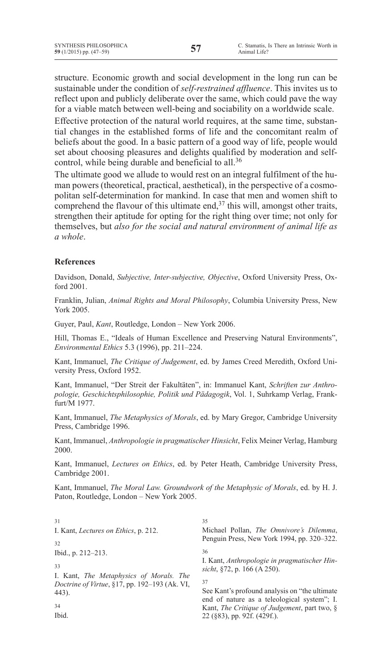structure. Economic growth and social development in the long run can be sustainable under the condition of *self-restrained affluence*. This invites us to reflect upon and publicly deliberate over the same, which could pave the way for a viable match between well-being and sociability on a worldwide scale.

Effective protection of the natural world requires, at the same time, substantial changes in the established forms of life and the concomitant realm of beliefs about the good. In a basic pattern of a good way of life, people would set about choosing pleasures and delights qualified by moderation and selfcontrol, while being durable and beneficial to all.36

The ultimate good we allude to would rest on an integral fulfilment of the human powers (theoretical, practical, aesthetical), in the perspective of a cosmopolitan self-determination for mankind. In case that men and women shift to comprehend the flavour of this ultimate end, $37$  this will, amongst other traits, strengthen their aptitude for opting for the right thing over time; not only for themselves, but *also for the social and natural environment of animal life as a whole*.

### **References**

Davidson, Donald, *Subjective, Inter-subjective, Objective*, Oxford University Press, Oxford 2001.

Franklin, Julian, *Animal Rights and Moral Philosophy*, Columbia University Press, New York 2005.

Guyer, Paul, *Kant*, Routledge, London – New York 2006.

Hill, Thomas E., "Ideals of Human Excellence and Preserving Natural Environments", *Environmental Ethics* 5.3 (1996), pp. 211–224.

Kant, Immanuel, *The Critique of Judgement*, ed. by James Creed Meredith, Oxford University Press, Oxford 1952.

Kant, Immanuel, "Der Streit der Fakultäten", in: Immanuel Kant, *Schriften zur Anthropologie, Geschichtsphilosophie, Politik und Pädagogik*, Vol. 1, Suhrkamp Verlag, Frankfurt/M 1977.

Kant, Immanuel, *The Metaphysics of Morals*, ed. by Mary Gregor, Cambridge University Press, Cambridge 1996.

Kant, Immanuel, *Anthropologie in pragmatischer Hinsicht*, Felix Meiner Verlag, Hamburg 2000.

Kant, Immanuel, *Lectures on Ethics*, ed. by Peter Heath, Cambridge University Press, Cambridge 2001.

Kant, Immanuel, *The Moral Law. Groundwork of the Metaphysic of Morals*, ed. by H. J. Paton, Routledge, London – New York 2005.

31 I. Kant, *Lectures on Ethics*, p. 212. 32 Ibid., p. 212–213. 33 I. Kant, *The Metaphysics of Morals. The Doctrine of Virtue*, §17, pp. 192–193 (Ak. VI, 443). 34 Ibid. 35 Michael Pollan, *The Omnivore's Dilemma*, Penguin Press, New York 1994, pp. 320–322. 36 I. Kant, *Anthropologie in pragmatischer Hinsicht*, §72, p. 166 (A 250). 37 See Kant's profound analysis on "the ultimate end of nature as a teleological system"; I. Kant, *The Critique of Judgement*, part two, § 22 (§83), pp. 92f. (429f.).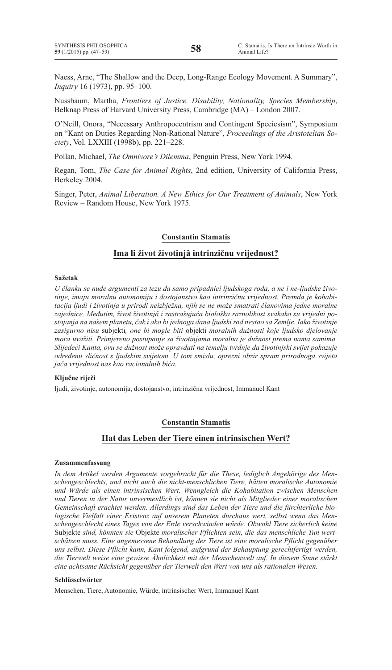Naess, Arne, "The Shallow and the Deep, Long-Range Ecology Movement. A Summary", *Inquiry* 16 (1973), pp. 95–100.

Nussbaum, Martha, *Frontiers of Justice. Disability, Nationality, Species Membership*, Belknap Press of Harvard University Press, Cambridge (MA) – London 2007.

O'Neill, Onora, "Necessary Anthropocentrism and Contingent Speciesism", Symposium on "Kant on Duties Regarding Non-Rational Nature", *Proceedings of the Aristotelian Society*, Vol. LXXIII (1998b), pp. 221–228.

Pollan, Michael, *The Omnivore's Dilemma*, Penguin Press, New York 1994.

Regan, Tom, *The Case for Animal Rights*, 2nd edition, University of California Press, Berkeley 2004.

Singer, Peter, *Animal Liberation. A New Ethics for Our Treatment of Animals*, New York Review – Random House, New York 1975.

#### **Constantin Stamatis**

#### **Ima li život životinjâ intrinzičnu vrijednost?**

#### **Sažetak**

*U članku se nude argumenti za tezu da samo pripadnici ljudskoga roda, a ne i ne-ljudske životinje, imaju moralnu autonomiju i dostojanstvo kao intrinzičnu vrijednost. Premda je kohabitacija ljudi i životinja u prirodi neizbježna, njih se ne može smatrati članovima jedne moralne zajednice. Međutim, život životinjâ i zastrašujuća biološka raznolikost svakako su vrijedni postojanja na našem planetu, čak i ako bi jednoga dana ljudski rod nestao sa Zemlje. Iako životinje zasigurno nisu* subjekti*, one bi mogle biti* objekti *moralnih dužnosti koje ljudsko djelovanje mora uvažiti. Primjereno postupanje sa životinjama moralna je dužnost prema nama samima. Slijedeći Kanta, ovu se dužnost može opravdati na temelju tvrdnje da životinjski svijet pokazuje određenu sličnost s ljudskim svijetom. U tom smislu, oprezni obzir spram prirodnoga svijeta jača vrijednost nas kao racionalnih bića.*

#### **Ključne riječi**

ljudi, životinje, autonomija, dostojanstvo, intrinzična vrijednost, Immanuel Kant

#### **Constantin Stamatis**

#### **Hat das Leben der Tiere einen intrinsischen Wert?**

#### **Zusammenfassung**

*In dem Artikel werden Argumente vorgebracht für die These, lediglich Angehörige des Menschengeschlechts, und nicht auch die nicht-menschlichen Tiere, hätten moralische Autonomie und Würde als einen intrinsischen Wert. Wenngleich die Kohabitation zwischen Menschen und Tieren in der Natur unvermeidlich ist, können sie nicht als Mitglieder einer moralischen Gemeinschaft erachtet werden. Allerdings sind das Leben der Tiere und die fürchterliche biologische Vielfalt einer Existenz auf unserem Planeten durchaus wert, selbst wenn das Menschengeschlecht eines Tages von der Erde verschwinden würde. Obwohl Tiere sicherlich keine*  Subjekte *sind, könnten sie* Objekte *moralischer Pflichten sein, die das menschliche Tun wertschätzen muss. Eine angemessene Behandlung der Tiere ist eine moralische Pflicht gegenüber uns selbst. Diese Pflicht kann, Kant folgend, aufgrund der Behauptung gerechtfertigt werden, die Tierwelt weise eine gewisse Ähnlichkeit mit der Menschenwelt auf. In diesem Sinne stärkt eine achtsame Rücksicht gegenüber der Tierwelt den Wert von uns als rationalen Wesen.*

#### **Schlüsselwörter**

Menschen, Tiere, Autonomie, Würde, intrinsischer Wert, Immanuel Kant